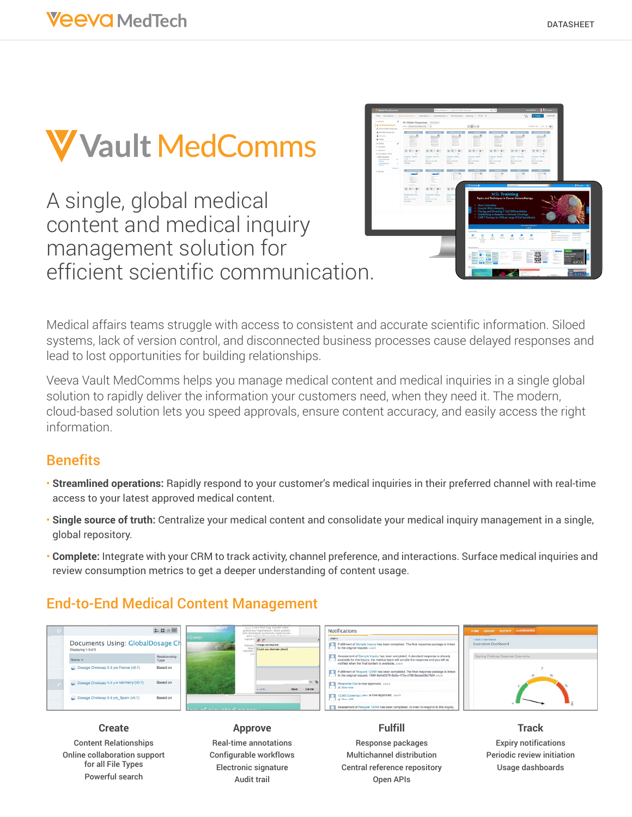

A single, global medical content and medical inquiry management solution for efficient scientific communication.



Medical affairs teams struggle with access to consistent and accurate scientific information. Siloed systems, lack of version control, and disconnected business processes cause delayed responses and lead to lost opportunities for building relationships.

Veeva Vault MedComms helps you manage medical content and medical inquiries in a single global solution to rapidly deliver the information your customers need, when they need it. The modern, cloud-based solution lets you speed approvals, ensure content accuracy, and easily access the right information.

## **Benefits**

- **Streamlined operations:** Rapidly respond to your customer's medical inquiries in their preferred channel with real-time access to your latest approved medical content.
- **Single source of truth:** Centralize your medical content and consolidate your medical inquiry management in a single, global repository.
- **Complete:** Integrate with your CRM to track activity, channel preference, and interactions. Surface medical inquiries and review consumption metrics to get a deeper understanding of content usage.

## End-to-End Medical Content Management



Content Relationships Online collaboration support for all File Types Powerful search

**Approve** Real-time annotations Configurable workflows Electronic signature Audit trail

**Fulfill** Response packages Multichannel distribution Central reference repository Open APIs

**Track** Expiry notifications Periodic review initiation Usage dashboards